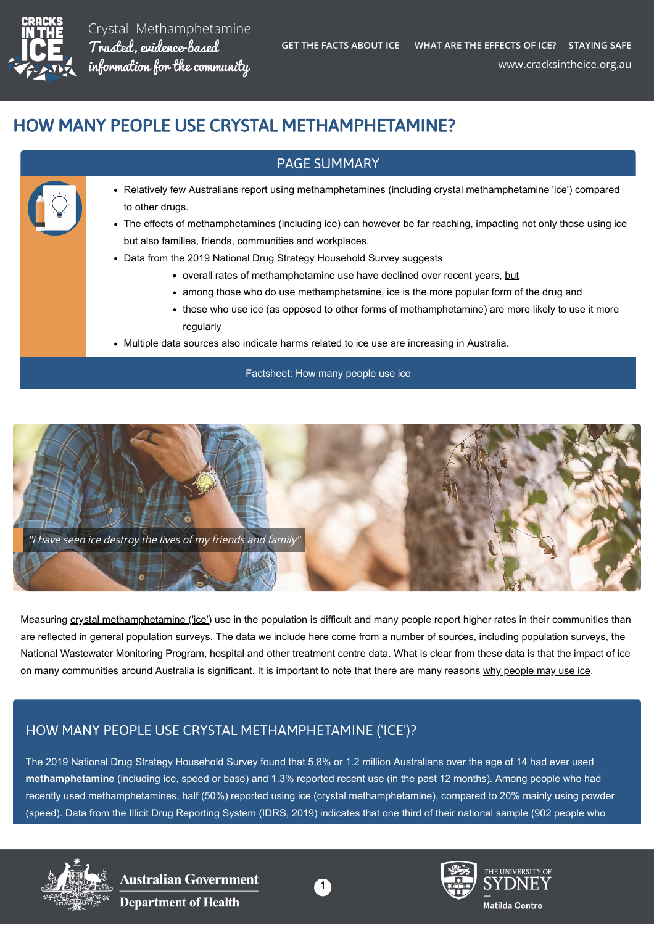

Crystal Methamphetamine Trusted, evidence-based information for the community

# HOW MANY PEOPLE USE CRYSTAL METHAMPHETAMINE?

#### PAGE SUMMARY

- Relatively few Australians report using methamphetamines (including crystal methamphetamine 'ice') compared to other drugs.
	- The effects of methamphetamines (including ice) can however be far reaching, impacting not only those using ice but also families, friends, communities and workplaces.
	- Data from the 2019 National Drug Strategy Household Survey suggests
		- overall rates of methamphetamine use have declined over recent years, but
		- among those who do use methamphetamine, ice is the more popular form of the drug and
		- those who use ice (as opposed to other forms of methamphetamine) are more likely to use it more regularly
	- Multiple data sources also indicate harms related to ice use are increasing in Australia.

#### [Factsheet: How many people use ice](https://cracksintheice.org.au/pdf/download/how-many-people-use-ice-summary.pdf)



Measuring [crystal methamphetamine \('ice'\)](https://cracksintheice.org.au/what-is-ice) use in the population is difficult and many people report higher rates in their communities than are reflected in general population surveys. The data we include here come from a number of sources, including population surveys, the National Wastewater Monitoring Program, hospital and other treatment centre data. What is clear from these data is that the impact of ice on many communities around Australia is significant. It is important to note that there are many reasons [why people may use ice](https://cracksintheice.org.au/why-do-people-use-ice).

## HOW MANY PEOPLE USE CRYSTAL METHAMPHETAMINE ('ICE')?

The 2019 National Drug Strategy Household Survey found that 5.8% or 1.2 million Australians over the age of 14 had ever used **methamphetamine** (including ice, speed or base) and 1.3% reported recent use (in the past 12 months). Among people who had recently used methamphetamines, half (50%) reported using ice (crystal methamphetamine), compared to 20% mainly using powder (speed). Data from the Illicit Drug Reporting System (IDRS, 2019) indicates that one third of their national sample (902 people who



Australian Government **Department of Health** 





THE UNIVERSITY OF Matilda Centre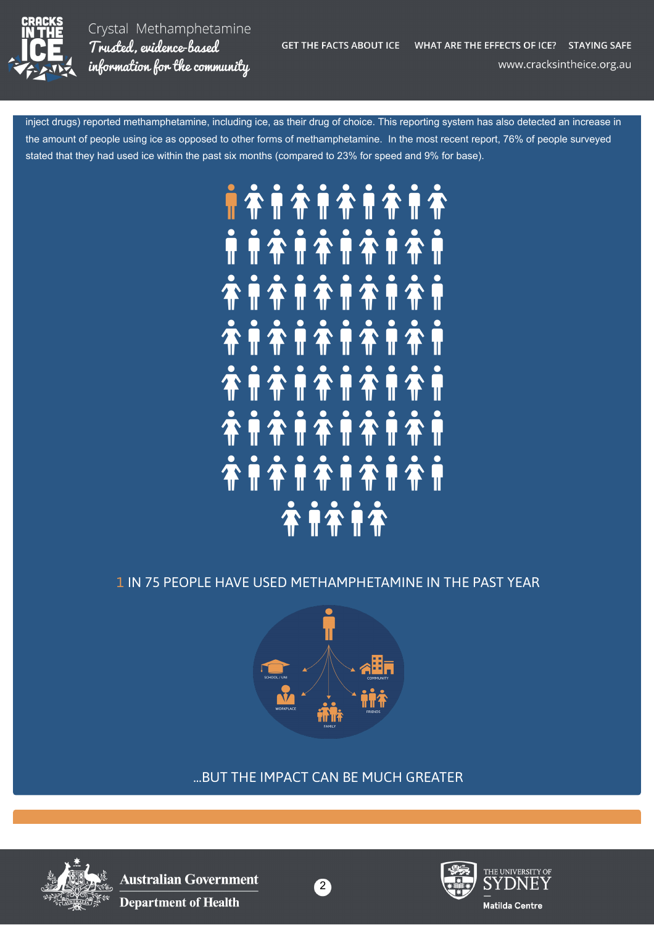

Crystal Methamphetamine Trusted. evidence-based information for the community

inject drugs) reported methamphetamine, including ice, as their drug of choice. This reporting system has also detected an increase in the amount of people using ice as opposed to other forms of methamphetamine. In the most recent report, 76% of people surveyed stated that they had used ice within the past six months (compared to 23% for speed and 9% for base).



## 1 IN 75 PEOPLE HAVE USED METHAMPHETAMINE IN THE PAST YEAR



...BUT THE IMPACT CAN BE MUCH GREATER



**Australian Government Department of Health** 



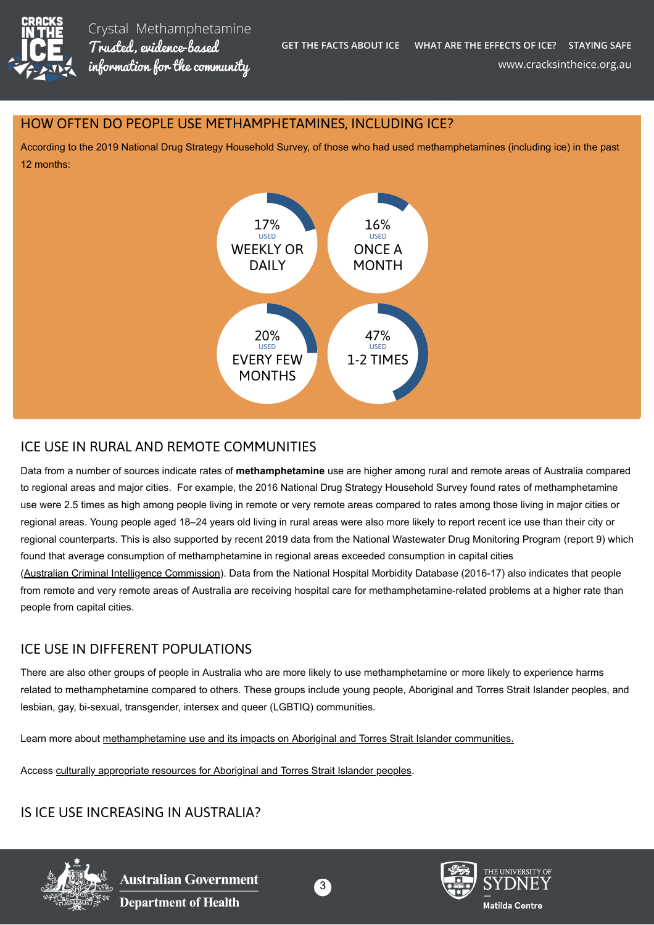

#### HOW OFTEN DO PEOPLE USE METHAMPHETAMINES, INCLUDING ICE?

According to the 2019 National Drug Strategy Household Survey, of those who had used methamphetamines (including ice) in the past 12 months:



### ICE USE IN RURAL AND REMOTE COMMUNITIES

Data from a number of sources indicate rates of **methamphetamine** use are higher among rural and remote areas of Australia compared to regional areas and major cities. For example, the 2016 National Drug Strategy Household Survey found rates of methamphetamine use were 2.5 times as high among people living in remote or very remote areas compared to rates among those living in major cities or regional areas. Young people aged 18–24 years old living in rural areas were also more likely to report recent ice use than their city or regional counterparts. This is also supported by recent 2019 data from the National Wastewater Drug Monitoring Program (report 9) which found that average consumption of methamphetamine in regional areas exceeded consumption in capital cities ([Australian Criminal Intelligence Commission](https://www.acic.gov.au/)). Data from the National Hospital Morbidity Database (2016-17) also indicates that people from remote and very remote areas of Australia are receiving hospital care for methamphetamine-related problems at a higher rate than

ICE USE IN DIFFERENT POPULATIONS

There are also other groups of people in Australia who are more likely to use methamphetamine or more likely to experience harms related to methamphetamine compared to others. These groups include young people, Aboriginal and Torres Strait Islander peoples, and lesbian, gay, bi-sexual, transgender, intersex and queer (LGBTIQ) communities.

Learn more about [methamphetamine use and its impacts on Aboriginal and Torres Strait Islander communities.](https://aodknowledgecentre.ecu.edu.au/learn/news/5971/)

Access [culturally appropriate resources for Aboriginal and Torres Strait Islander peoples](https://cracksintheice.org.au/aboriginal-and-torres-strait-islander-peoples).

IS ICE USE INCREASING IN AUSTRALIA?



people from capital cities.



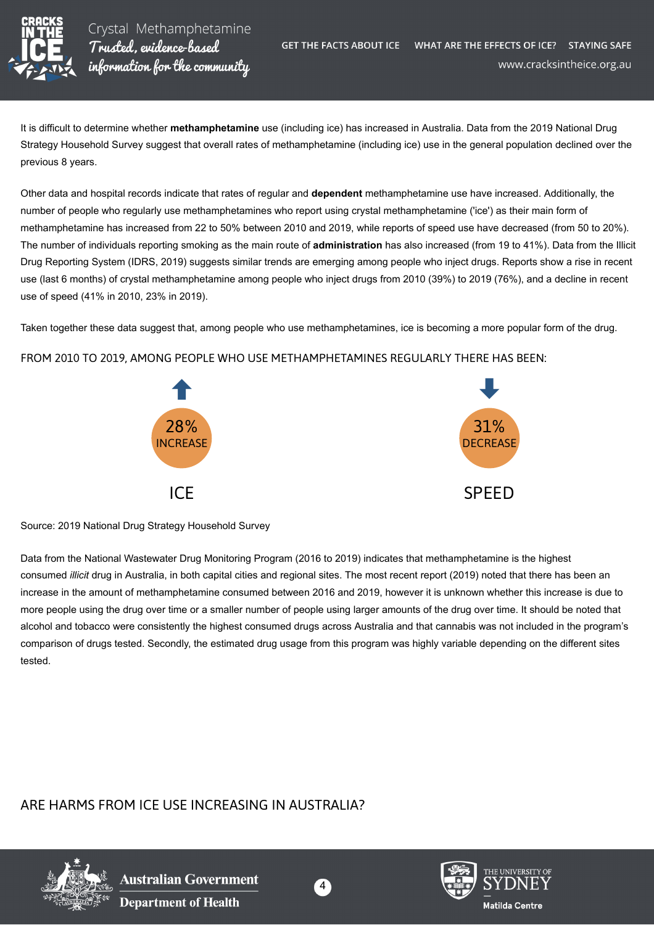

It is difficult to determine whether **methamphetamine** use (including ice) has increased in Australia. Data from the 2019 National Drug Strategy Household Survey suggest that overall rates of methamphetamine (including ice) use in the general population declined over the previous 8 years.

Other data and hospital records indicate that rates of regular and **dependent** methamphetamine use have increased. Additionally, the number of people who regularly use methamphetamines who report using crystal methamphetamine ('ice') as their main form of methamphetamine has increased from 22 to 50% between 2010 and 2019, while reports of speed use have decreased (from 50 to 20%). The number of individuals reporting smoking as the main route of **administration** has also increased (from 19 to 41%). Data from the Illicit Drug Reporting System (IDRS, 2019) suggests similar trends are emerging among people who inject drugs. Reports show a rise in recent use (last 6 months) of crystal methamphetamine among people who inject drugs from 2010 (39%) to 2019 (76%), and a decline in recent use of speed (41% in 2010, 23% in 2019).

Taken together these data suggest that, among people who use methamphetamines, ice is becoming a more popular form of the drug.

#### FROM 2010 TO 2019, AMONG PEOPLE WHO USE METHAMPHETAMINES REGULARLY THERE HAS BEEN:



Source: 2019 National Drug Strategy Household Survey

Data from the National Wastewater Drug Monitoring Program (2016 to 2019) indicates that methamphetamine is the highest consumed *illicit* drug in Australia, in both capital cities and regional sites. The most recent report (2019) noted that there has been an increase in the amount of methamphetamine consumed between 2016 and 2019, however it is unknown whether this increase is due to more people using the drug over time or a smaller number of people using larger amounts of the drug over time. It should be noted that alcohol and tobacco were consistently the highest consumed drugs across Australia and that cannabis was not included in the program's comparison of drugs tested. Secondly, the estimated drug usage from this program was highly variable depending on the different sites tested.

#### ARE HARMS FROM ICE USE INCREASING IN AUSTRALIA?





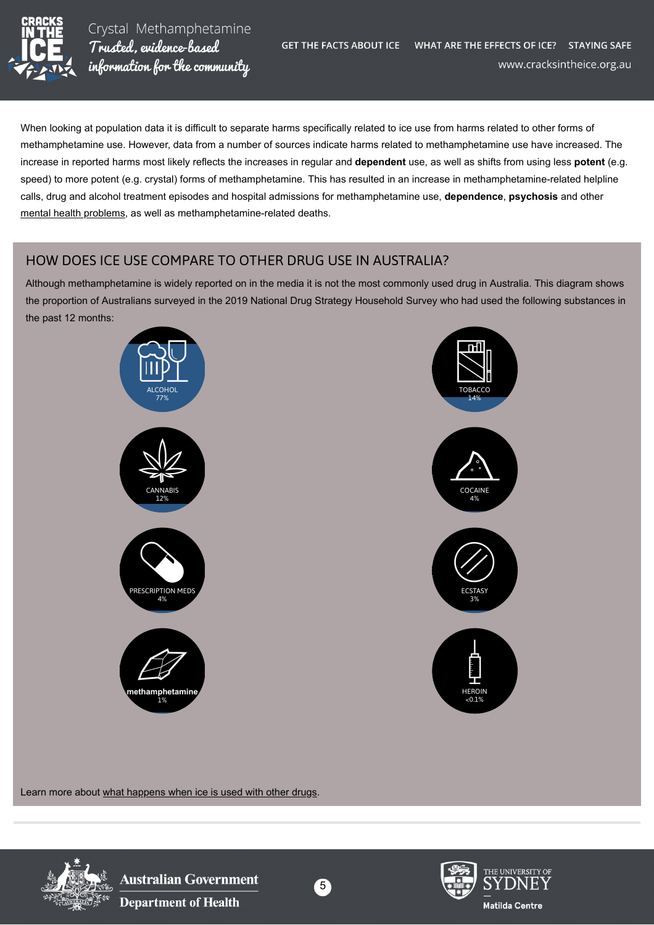

Crystal Methamphetamine Trusted, evidence-based information for the community

When looking at population data it is difficult to separate harms specifically related to ice use from harms related to other forms of methamphetamine use. However, data from a number of sources indicate harms related to methamphetamine use have increased. The increase in reported harms most likely reflects the increases in regular and **dependent** use, as well as shifts from using less **potent** (e.g. speed) to more potent (e.g. crystal) forms of methamphetamine. This has resulted in an increase in methamphetamine-related helpline calls, drug and alcohol treatment episodes and hospital admissions for methamphetamine use, **dependence**, **psychosis** and other [mental health problems,](https://cracksintheice.org.au/mental-health-effects) as well as methamphetamine-related deaths.

#### HOW DOES ICE USE COMPARE TO OTHER DRUG USE IN AUSTRALIA?

Although methamphetamine is widely reported on in the media it is not the most commonly used drug in Australia. This diagram shows the proportion of Australians surveyed in the 2019 National Drug Strategy Household Survey who had used the following substances in the past 12 months:



Learn more about [what happens when ice is used with other drugs](https://cracksintheice.org.au/using-ice-with-other-drugs).



**Australian Government Department of Health**